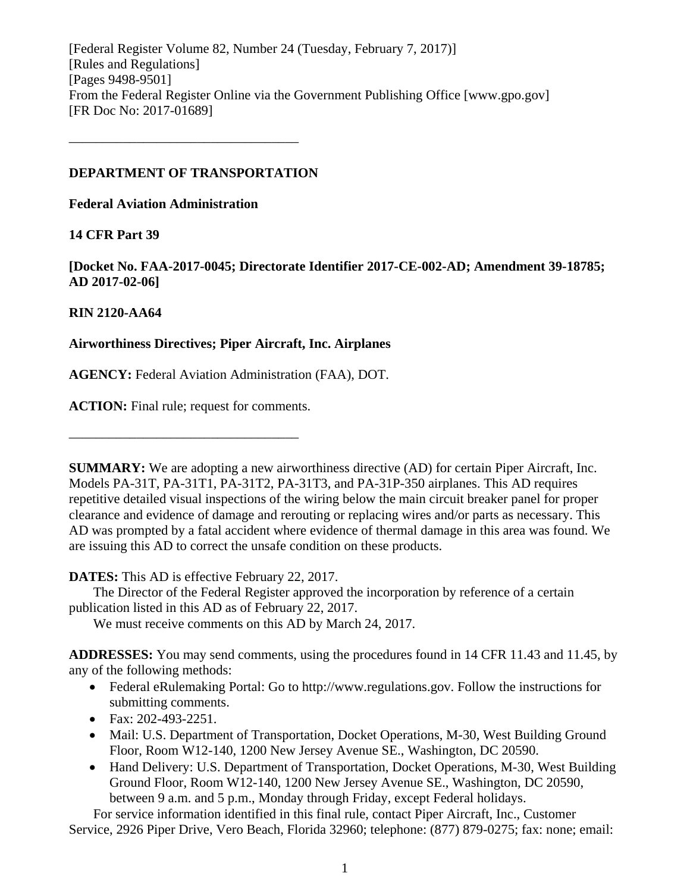[Federal Register Volume 82, Number 24 (Tuesday, February 7, 2017)] [Rules and Regulations] [Pages 9498-9501] From the Federal Register Online via the Government Publishing Office [www.gpo.gov] [FR Doc No: 2017-01689]

### **DEPARTMENT OF TRANSPORTATION**

––––––––––––––––––––––––––––––––––

**Federal Aviation Administration**

### **14 CFR Part 39**

**[Docket No. FAA-2017-0045; Directorate Identifier 2017-CE-002-AD; Amendment 39-18785; AD 2017-02-06]**

### **RIN 2120-AA64**

### **Airworthiness Directives; Piper Aircraft, Inc. Airplanes**

**AGENCY:** Federal Aviation Administration (FAA), DOT.

**ACTION:** Final rule; request for comments.

––––––––––––––––––––––––––––––––––

**SUMMARY:** We are adopting a new airworthiness directive (AD) for certain Piper Aircraft, Inc. Models PA-31T, PA-31T1, PA-31T2, PA-31T3, and PA-31P-350 airplanes. This AD requires repetitive detailed visual inspections of the wiring below the main circuit breaker panel for proper clearance and evidence of damage and rerouting or replacing wires and/or parts as necessary. This AD was prompted by a fatal accident where evidence of thermal damage in this area was found. We are issuing this AD to correct the unsafe condition on these products.

**DATES:** This AD is effective February 22, 2017.

The Director of the Federal Register approved the incorporation by reference of a certain publication listed in this AD as of February 22, 2017.

We must receive comments on this AD by March 24, 2017.

**ADDRESSES:** You may send comments, using the procedures found in 14 CFR 11.43 and 11.45, by any of the following methods:

- Federal eRulemaking Portal: Go to http://www.regulations.gov. Follow the instructions for submitting comments.
- Fax: 202-493-2251.
- Mail: U.S. Department of Transportation, Docket Operations, M-30, West Building Ground Floor, Room W12-140, 1200 New Jersey Avenue SE., Washington, DC 20590.
- Hand Delivery: U.S. Department of Transportation, Docket Operations, M-30, West Building Ground Floor, Room W12-140, 1200 New Jersey Avenue SE., Washington, DC 20590, between 9 a.m. and 5 p.m., Monday through Friday, except Federal holidays.

For service information identified in this final rule, contact Piper Aircraft, Inc., Customer Service, 2926 Piper Drive, Vero Beach, Florida 32960; telephone: (877) 879-0275; fax: none; email: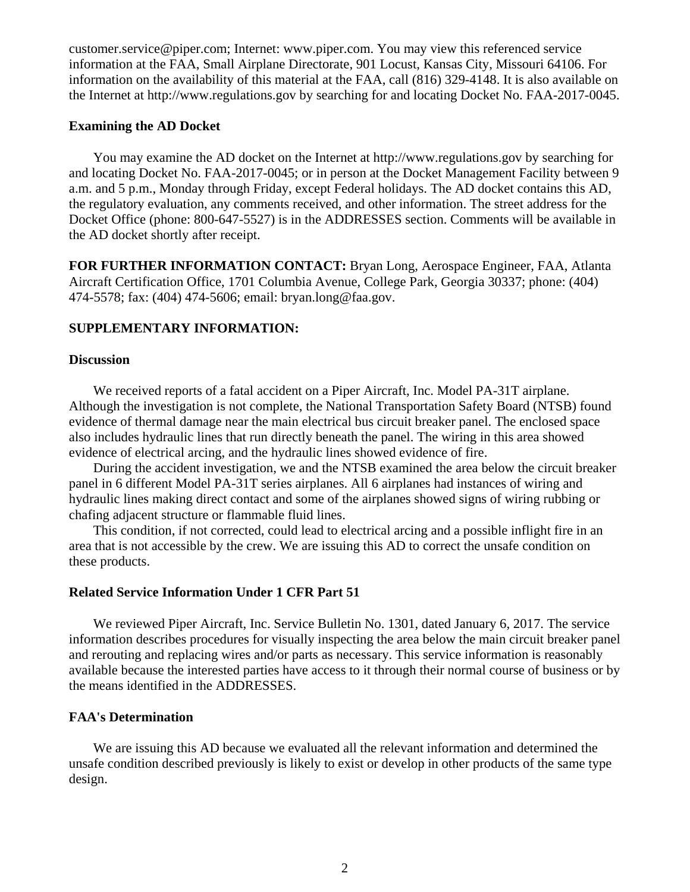customer.service@piper.com; Internet: www.piper.com. You may view this referenced service information at the FAA, Small Airplane Directorate, 901 Locust, Kansas City, Missouri 64106. For information on the availability of this material at the FAA, call (816) 329-4148. It is also available on the Internet at http://www.regulations.gov by searching for and locating Docket No. FAA-2017-0045.

#### **Examining the AD Docket**

You may examine the AD docket on the Internet at http://www.regulations.gov by searching for and locating Docket No. FAA-2017-0045; or in person at the Docket Management Facility between 9 a.m. and 5 p.m., Monday through Friday, except Federal holidays. The AD docket contains this AD, the regulatory evaluation, any comments received, and other information. The street address for the Docket Office (phone: 800-647-5527) is in the ADDRESSES section. Comments will be available in the AD docket shortly after receipt.

**FOR FURTHER INFORMATION CONTACT:** Bryan Long, Aerospace Engineer, FAA, Atlanta Aircraft Certification Office, 1701 Columbia Avenue, College Park, Georgia 30337; phone: (404) 474-5578; fax: (404) 474-5606; email: bryan.long@faa.gov.

### **SUPPLEMENTARY INFORMATION:**

#### **Discussion**

We received reports of a fatal accident on a Piper Aircraft, Inc. Model PA-31T airplane. Although the investigation is not complete, the National Transportation Safety Board (NTSB) found evidence of thermal damage near the main electrical bus circuit breaker panel. The enclosed space also includes hydraulic lines that run directly beneath the panel. The wiring in this area showed evidence of electrical arcing, and the hydraulic lines showed evidence of fire.

During the accident investigation, we and the NTSB examined the area below the circuit breaker panel in 6 different Model PA-31T series airplanes. All 6 airplanes had instances of wiring and hydraulic lines making direct contact and some of the airplanes showed signs of wiring rubbing or chafing adjacent structure or flammable fluid lines.

This condition, if not corrected, could lead to electrical arcing and a possible inflight fire in an area that is not accessible by the crew. We are issuing this AD to correct the unsafe condition on these products.

#### **Related Service Information Under 1 CFR Part 51**

We reviewed Piper Aircraft, Inc. Service Bulletin No. 1301, dated January 6, 2017. The service information describes procedures for visually inspecting the area below the main circuit breaker panel and rerouting and replacing wires and/or parts as necessary. This service information is reasonably available because the interested parties have access to it through their normal course of business or by the means identified in the ADDRESSES.

#### **FAA's Determination**

We are issuing this AD because we evaluated all the relevant information and determined the unsafe condition described previously is likely to exist or develop in other products of the same type design.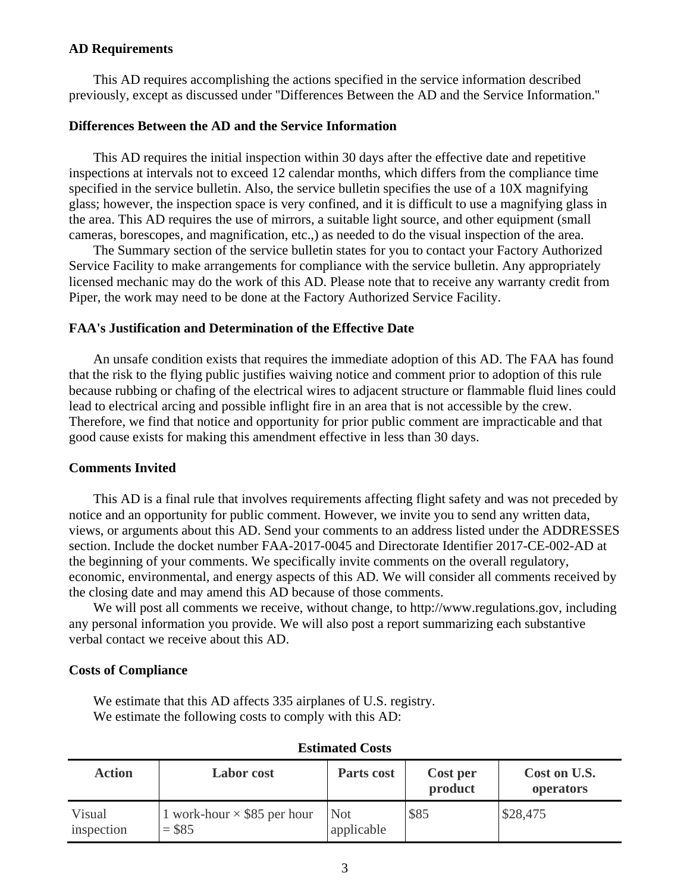#### **AD Requirements**

This AD requires accomplishing the actions specified in the service information described previously, except as discussed under ''Differences Between the AD and the Service Information.''

### **Differences Between the AD and the Service Information**

This AD requires the initial inspection within 30 days after the effective date and repetitive inspections at intervals not to exceed 12 calendar months, which differs from the compliance time specified in the service bulletin. Also, the service bulletin specifies the use of a 10X magnifying glass; however, the inspection space is very confined, and it is difficult to use a magnifying glass in the area. This AD requires the use of mirrors, a suitable light source, and other equipment (small cameras, borescopes, and magnification, etc.,) as needed to do the visual inspection of the area.

The Summary section of the service bulletin states for you to contact your Factory Authorized Service Facility to make arrangements for compliance with the service bulletin. Any appropriately licensed mechanic may do the work of this AD. Please note that to receive any warranty credit from Piper, the work may need to be done at the Factory Authorized Service Facility.

### **FAA's Justification and Determination of the Effective Date**

An unsafe condition exists that requires the immediate adoption of this AD. The FAA has found that the risk to the flying public justifies waiving notice and comment prior to adoption of this rule because rubbing or chafing of the electrical wires to adjacent structure or flammable fluid lines could lead to electrical arcing and possible inflight fire in an area that is not accessible by the crew. Therefore, we find that notice and opportunity for prior public comment are impracticable and that good cause exists for making this amendment effective in less than 30 days.

#### **Comments Invited**

This AD is a final rule that involves requirements affecting flight safety and was not preceded by notice and an opportunity for public comment. However, we invite you to send any written data, views, or arguments about this AD. Send your comments to an address listed under the ADDRESSES section. Include the docket number FAA-2017-0045 and Directorate Identifier 2017-CE-002-AD at the beginning of your comments. We specifically invite comments on the overall regulatory, economic, environmental, and energy aspects of this AD. We will consider all comments received by the closing date and may amend this AD because of those comments.

We will post all comments we receive, without change, to http://www.regulations.gov, including any personal information you provide. We will also post a report summarizing each substantive verbal contact we receive about this AD.

#### **Costs of Compliance**

We estimate that this AD affects 335 airplanes of U.S. registry. We estimate the following costs to comply with this AD:

| <b>Action</b>        | <b>Labor</b> cost                             | Parts cost        | Cost per<br>product | Cost on U.S.<br>operators |  |  |  |
|----------------------|-----------------------------------------------|-------------------|---------------------|---------------------------|--|--|--|
| Visual<br>inspection | 1 work-hour $\times$ \$85 per hour<br>$= $85$ | Not<br>applicable | \$85                | \$28,475                  |  |  |  |

#### **Estimated Costs**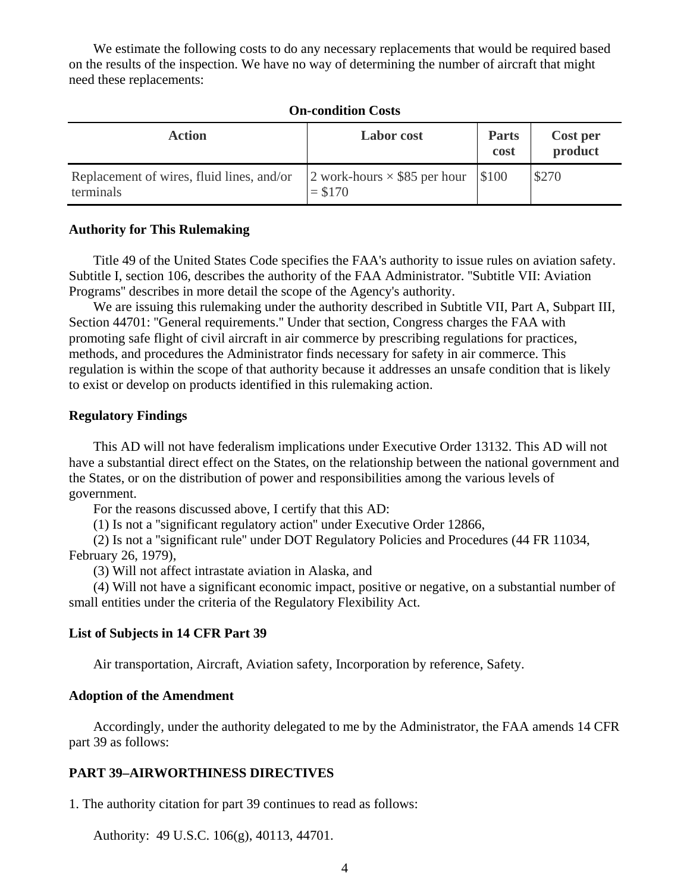We estimate the following costs to do any necessary replacements that would be required based on the results of the inspection. We have no way of determining the number of aircraft that might need these replacements:

#### **On-condition Costs**

| <b>Action</b>                                          | <b>Labor</b> cost                                      | <b>Parts</b><br>cost | Cost per<br>product |
|--------------------------------------------------------|--------------------------------------------------------|----------------------|---------------------|
| Replacement of wires, fluid lines, and/or<br>terminals | 2 work-hours $\times$ \$85 per hour \\$100<br>$= $170$ |                      | \$270               |

#### **Authority for This Rulemaking**

Title 49 of the United States Code specifies the FAA's authority to issue rules on aviation safety. Subtitle I, section 106, describes the authority of the FAA Administrator. ''Subtitle VII: Aviation Programs'' describes in more detail the scope of the Agency's authority.

We are issuing this rulemaking under the authority described in Subtitle VII, Part A, Subpart III, Section 44701: ''General requirements.'' Under that section, Congress charges the FAA with promoting safe flight of civil aircraft in air commerce by prescribing regulations for practices, methods, and procedures the Administrator finds necessary for safety in air commerce. This regulation is within the scope of that authority because it addresses an unsafe condition that is likely to exist or develop on products identified in this rulemaking action.

#### **Regulatory Findings**

This AD will not have federalism implications under Executive Order 13132. This AD will not have a substantial direct effect on the States, on the relationship between the national government and the States, or on the distribution of power and responsibilities among the various levels of government.

For the reasons discussed above, I certify that this AD:

(1) Is not a ''significant regulatory action'' under Executive Order 12866,

(2) Is not a ''significant rule'' under DOT Regulatory Policies and Procedures (44 FR 11034, February 26, 1979),

(3) Will not affect intrastate aviation in Alaska, and

(4) Will not have a significant economic impact, positive or negative, on a substantial number of small entities under the criteria of the Regulatory Flexibility Act.

#### **List of Subjects in 14 CFR Part 39**

Air transportation, Aircraft, Aviation safety, Incorporation by reference, Safety.

#### **Adoption of the Amendment**

Accordingly, under the authority delegated to me by the Administrator, the FAA amends 14 CFR part 39 as follows:

#### **PART 39–AIRWORTHINESS DIRECTIVES**

1. The authority citation for part 39 continues to read as follows:

Authority: 49 U.S.C. 106(g), 40113, 44701.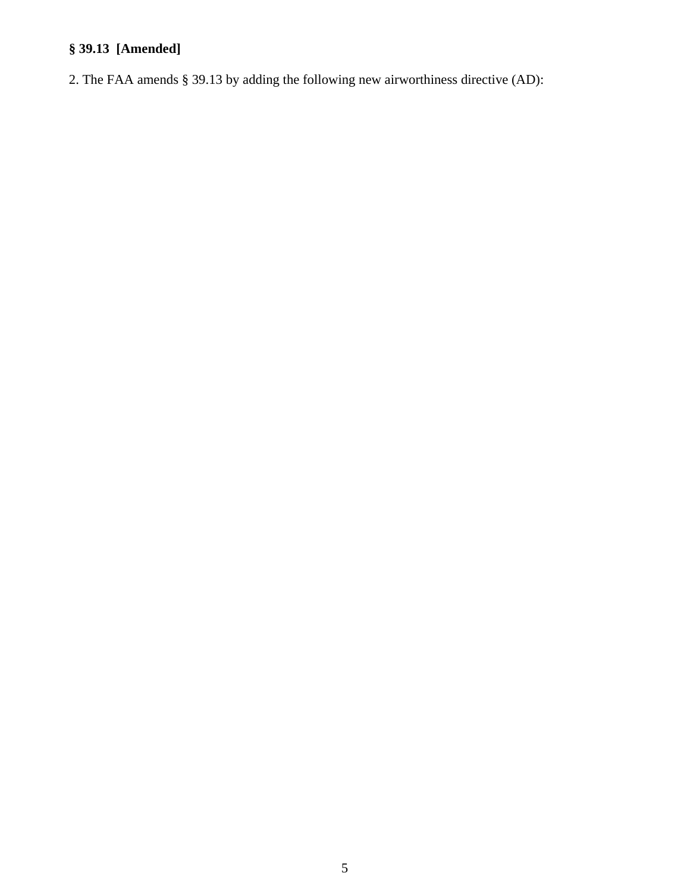# **§ 39.13 [Amended]**

2. The FAA amends § 39.13 by adding the following new airworthiness directive (AD):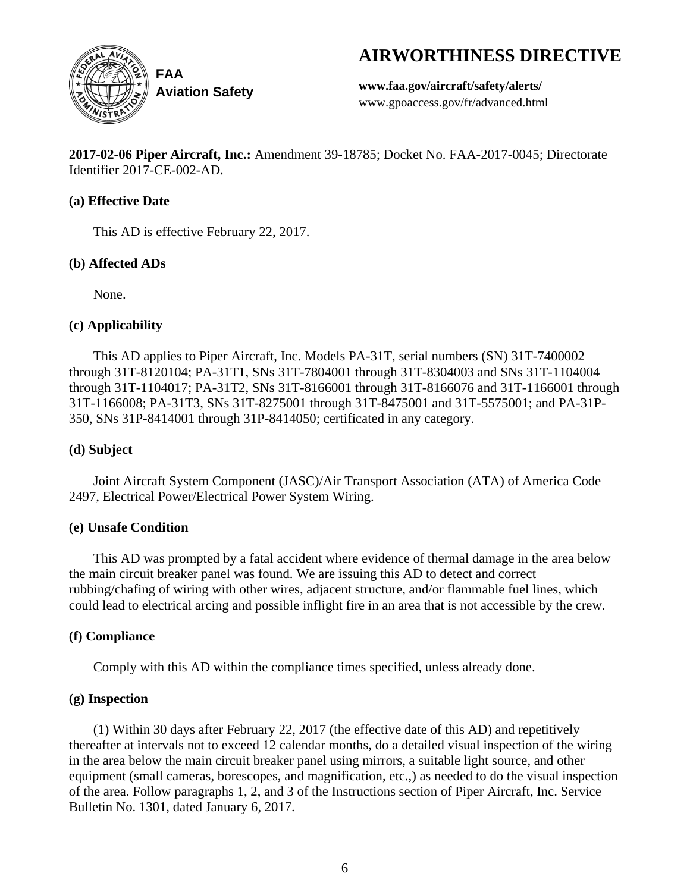# **AIRWORTHINESS DIRECTIVE**



**Aviation Safety**

**www.faa.gov/aircraft/safety/alerts/** www.gpoaccess.gov/fr/advanced.html

**2017-02-06 Piper Aircraft, Inc.:** Amendment 39-18785; Docket No. FAA-2017-0045; Directorate Identifier 2017-CE-002-AD.

## **(a) Effective Date**

This AD is effective February 22, 2017.

# **(b) Affected ADs**

None.

# **(c) Applicability**

This AD applies to Piper Aircraft, Inc. Models PA-31T, serial numbers (SN) 31T-7400002 through 31T-8120104; PA-31T1, SNs 31T-7804001 through 31T-8304003 and SNs 31T-1104004 through 31T-1104017; PA-31T2, SNs 31T-8166001 through 31T-8166076 and 31T-1166001 through 31T-1166008; PA-31T3, SNs 31T-8275001 through 31T-8475001 and 31T-5575001; and PA-31P-350, SNs 31P-8414001 through 31P-8414050; certificated in any category.

# **(d) Subject**

Joint Aircraft System Component (JASC)/Air Transport Association (ATA) of America Code 2497, Electrical Power/Electrical Power System Wiring.

# **(e) Unsafe Condition**

This AD was prompted by a fatal accident where evidence of thermal damage in the area below the main circuit breaker panel was found. We are issuing this AD to detect and correct rubbing/chafing of wiring with other wires, adjacent structure, and/or flammable fuel lines, which could lead to electrical arcing and possible inflight fire in an area that is not accessible by the crew.

# **(f) Compliance**

Comply with this AD within the compliance times specified, unless already done.

# **(g) Inspection**

(1) Within 30 days after February 22, 2017 (the effective date of this AD) and repetitively thereafter at intervals not to exceed 12 calendar months, do a detailed visual inspection of the wiring in the area below the main circuit breaker panel using mirrors, a suitable light source, and other equipment (small cameras, borescopes, and magnification, etc.,) as needed to do the visual inspection of the area. Follow paragraphs 1, 2, and 3 of the Instructions section of Piper Aircraft, Inc. Service Bulletin No. 1301, dated January 6, 2017.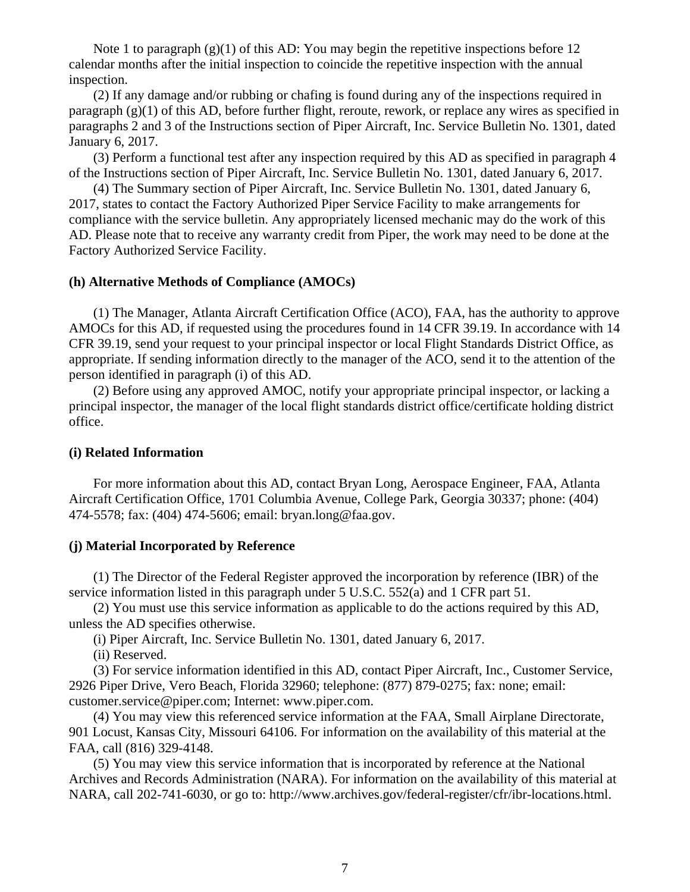Note 1 to paragraph  $(g)(1)$  of this AD: You may begin the repetitive inspections before 12 calendar months after the initial inspection to coincide the repetitive inspection with the annual inspection.

(2) If any damage and/or rubbing or chafing is found during any of the inspections required in paragraph (g)(1) of this AD, before further flight, reroute, rework, or replace any wires as specified in paragraphs 2 and 3 of the Instructions section of Piper Aircraft, Inc. Service Bulletin No. 1301, dated January 6, 2017.

(3) Perform a functional test after any inspection required by this AD as specified in paragraph 4 of the Instructions section of Piper Aircraft, Inc. Service Bulletin No. 1301, dated January 6, 2017.

(4) The Summary section of Piper Aircraft, Inc. Service Bulletin No. 1301, dated January 6, 2017, states to contact the Factory Authorized Piper Service Facility to make arrangements for compliance with the service bulletin. Any appropriately licensed mechanic may do the work of this AD. Please note that to receive any warranty credit from Piper, the work may need to be done at the Factory Authorized Service Facility.

#### **(h) Alternative Methods of Compliance (AMOCs)**

(1) The Manager, Atlanta Aircraft Certification Office (ACO), FAA, has the authority to approve AMOCs for this AD, if requested using the procedures found in 14 CFR 39.19. In accordance with 14 CFR 39.19, send your request to your principal inspector or local Flight Standards District Office, as appropriate. If sending information directly to the manager of the ACO, send it to the attention of the person identified in paragraph (i) of this AD.

(2) Before using any approved AMOC, notify your appropriate principal inspector, or lacking a principal inspector, the manager of the local flight standards district office/certificate holding district office.

#### **(i) Related Information**

For more information about this AD, contact Bryan Long, Aerospace Engineer, FAA, Atlanta Aircraft Certification Office, 1701 Columbia Avenue, College Park, Georgia 30337; phone: (404) 474-5578; fax: (404) 474-5606; email: bryan.long@faa.gov.

#### **(j) Material Incorporated by Reference**

(1) The Director of the Federal Register approved the incorporation by reference (IBR) of the service information listed in this paragraph under 5 U.S.C. 552(a) and 1 CFR part 51.

(2) You must use this service information as applicable to do the actions required by this AD, unless the AD specifies otherwise.

(i) Piper Aircraft, Inc. Service Bulletin No. 1301, dated January 6, 2017.

(ii) Reserved.

(3) For service information identified in this AD, contact Piper Aircraft, Inc., Customer Service, 2926 Piper Drive, Vero Beach, Florida 32960; telephone: (877) 879-0275; fax: none; email: customer.service@piper.com; Internet: www.piper.com.

(4) You may view this referenced service information at the FAA, Small Airplane Directorate, 901 Locust, Kansas City, Missouri 64106. For information on the availability of this material at the FAA, call (816) 329-4148.

(5) You may view this service information that is incorporated by reference at the National Archives and Records Administration (NARA). For information on the availability of this material at NARA, call 202-741-6030, or go to: http://www.archives.gov/federal-register/cfr/ibr-locations.html.